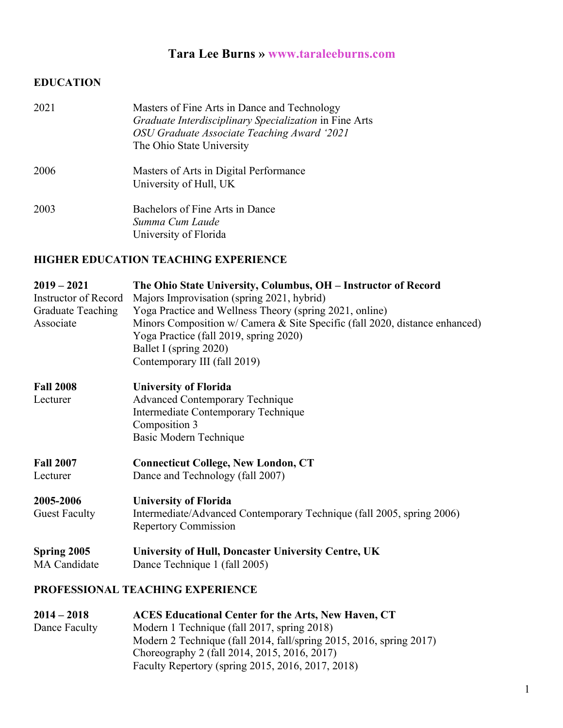# **Tara Lee Burns » www.taraleeburns.com**

## **EDUCATION**

| 2021 | Masters of Fine Arts in Dance and Technology<br>Graduate Interdisciplinary Specialization in Fine Arts<br>OSU Graduate Associate Teaching Award '2021<br>The Ohio State University |
|------|------------------------------------------------------------------------------------------------------------------------------------------------------------------------------------|
| 2006 | Masters of Arts in Digital Performance<br>University of Hull, UK                                                                                                                   |
| 2003 | Bachelors of Fine Arts in Dance<br>Summa Cum Laude<br>University of Florida                                                                                                        |

## **HIGHER EDUCATION TEACHING EXPERIENCE**

| $2019 - 2021$            | The Ohio State University, Columbus, OH - Instructor of Record              |
|--------------------------|-----------------------------------------------------------------------------|
| Instructor of Record     | Majors Improvisation (spring 2021, hybrid)                                  |
| <b>Graduate Teaching</b> | Yoga Practice and Wellness Theory (spring 2021, online)                     |
| Associate                | Minors Composition w/ Camera & Site Specific (fall 2020, distance enhanced) |
|                          | Yoga Practice (fall 2019, spring 2020)                                      |
|                          | Ballet I (spring 2020)                                                      |
|                          | Contemporary III (fall 2019)                                                |
| <b>Fall 2008</b>         | <b>University of Florida</b>                                                |
| Lecturer                 | <b>Advanced Contemporary Technique</b>                                      |
|                          | Intermediate Contemporary Technique                                         |
|                          | Composition 3                                                               |
|                          | Basic Modern Technique                                                      |
| <b>Fall 2007</b>         | <b>Connecticut College, New London, CT</b>                                  |
| Lecturer                 | Dance and Technology (fall 2007)                                            |
| 2005-2006                | <b>University of Florida</b>                                                |
| <b>Guest Faculty</b>     | Intermediate/Advanced Contemporary Technique (fall 2005, spring 2006)       |
|                          | <b>Repertory Commission</b>                                                 |
| Spring 2005              | University of Hull, Doncaster University Centre, UK                         |
| <b>MA</b> Candidate      | Dance Technique 1 (fall 2005)                                               |
|                          | PROFESSIONAL TEACHING EXPERIENCE                                            |

| $2014 - 2018$ | <b>ACES Educational Center for the Arts, New Haven, CT</b>          |
|---------------|---------------------------------------------------------------------|
| Dance Faculty | Modern 1 Technique (fall 2017, spring 2018)                         |
|               | Modern 2 Technique (fall 2014, fall/spring 2015, 2016, spring 2017) |
|               | Choreography 2 (fall 2014, 2015, 2016, 2017)                        |
|               | Faculty Repertory (spring 2015, 2016, 2017, 2018)                   |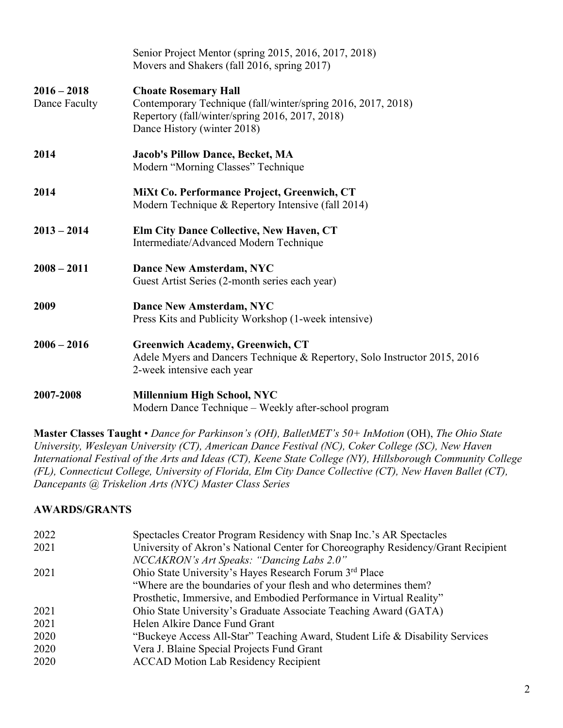|                                | Senior Project Mentor (spring 2015, 2016, 2017, 2018)<br>Movers and Shakers (fall 2016, spring 2017)                                                                          |
|--------------------------------|-------------------------------------------------------------------------------------------------------------------------------------------------------------------------------|
| $2016 - 2018$<br>Dance Faculty | <b>Choate Rosemary Hall</b><br>Contemporary Technique (fall/winter/spring 2016, 2017, 2018)<br>Repertory (fall/winter/spring 2016, 2017, 2018)<br>Dance History (winter 2018) |
| 2014                           | <b>Jacob's Pillow Dance, Becket, MA</b><br>Modern "Morning Classes" Technique                                                                                                 |
| 2014                           | MiXt Co. Performance Project, Greenwich, CT<br>Modern Technique & Repertory Intensive (fall 2014)                                                                             |
| $2013 - 2014$                  | Elm City Dance Collective, New Haven, CT<br>Intermediate/Advanced Modern Technique                                                                                            |
| $2008 - 2011$                  | <b>Dance New Amsterdam, NYC</b><br>Guest Artist Series (2-month series each year)                                                                                             |
| 2009                           | <b>Dance New Amsterdam, NYC</b><br>Press Kits and Publicity Workshop (1-week intensive)                                                                                       |
| $2006 - 2016$                  | <b>Greenwich Academy, Greenwich, CT</b><br>Adele Myers and Dancers Technique & Repertory, Solo Instructor 2015, 2016<br>2-week intensive each year                            |
| 2007-2008                      | Millennium High School, NYC<br>Modern Dance Technique – Weekly after-school program                                                                                           |

**Master Classes Taught** • *Dance for Parkinson's (OH), BalletMET's 50+ InMotion* (OH), *The Ohio State University, Wesleyan University (CT), American Dance Festival (NC), Coker College (SC), New Haven International Festival of the Arts and Ideas (CT), Keene State College (NY), Hillsborough Community College (FL), Connecticut College, University of Florida, Elm City Dance Collective (CT), New Haven Ballet (CT), Dancepants @ Triskelion Arts (NYC) Master Class Series*

#### **AWARDS/GRANTS**

| 2022 | Spectacles Creator Program Residency with Snap Inc.'s AR Spectacles              |
|------|----------------------------------------------------------------------------------|
| 2021 | University of Akron's National Center for Choreography Residency/Grant Recipient |
|      | NCCAKRON's Art Speaks: "Dancing Labs 2.0"                                        |
| 2021 | Ohio State University's Hayes Research Forum 3rd Place                           |
|      | "Where are the boundaries of your flesh and who determines them?                 |
|      | Prosthetic, Immersive, and Embodied Performance in Virtual Reality"              |
| 2021 | Ohio State University's Graduate Associate Teaching Award (GATA)                 |
| 2021 | Helen Alkire Dance Fund Grant                                                    |
| 2020 | "Buckeye Access All-Star" Teaching Award, Student Life & Disability Services     |
| 2020 | Vera J. Blaine Special Projects Fund Grant                                       |
| 2020 | <b>ACCAD Motion Lab Residency Recipient</b>                                      |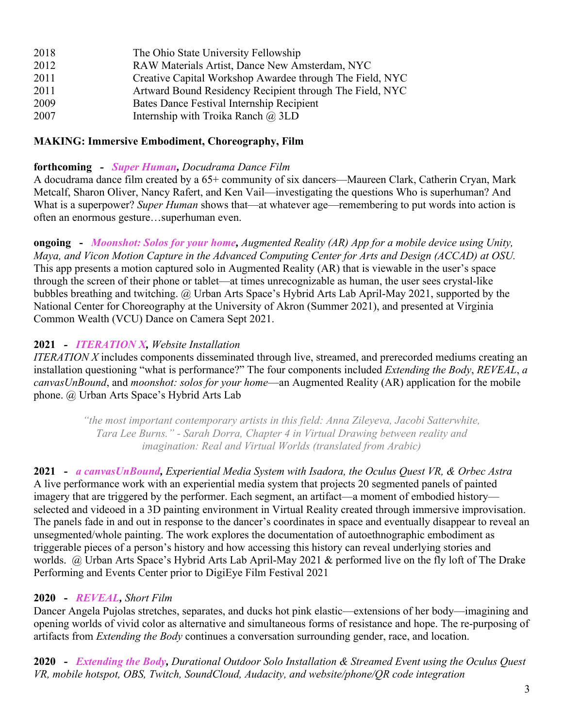| 2018 | The Ohio State University Fellowship                     |
|------|----------------------------------------------------------|
| 2012 | RAW Materials Artist, Dance New Amsterdam, NYC           |
| 2011 | Creative Capital Workshop Awardee through The Field, NYC |
| 2011 | Artward Bound Residency Recipient through The Field, NYC |
| 2009 | Bates Dance Festival Internship Recipient                |
| 2007 | Internship with Troika Ranch $\omega$ 3LD                |

#### **MAKING: Immersive Embodiment, Choreography, Film**

#### **forthcoming** *- Super Human, Docudrama Dance Film*

A docudrama dance film created by a 65+ community of six dancers—Maureen Clark, Catherin Cryan, Mark Metcalf, Sharon Oliver, Nancy Rafert, and Ken Vail—investigating the questions Who is superhuman? And What is a superpower? *Super Human* shows that—at whatever age—remembering to put words into action is often an enormous gesture…superhuman even.

**ongoing -** *Moonshot: Solos for your home, Augmented Reality (AR) App for a mobile device using Unity, Maya, and Vicon Motion Capture in the Advanced Computing Center for Arts and Design (ACCAD) at OSU.* This app presents a motion captured solo in Augmented Reality (AR) that is viewable in the user's space through the screen of their phone or tablet—at times unrecognizable as human, the user sees crystal-like bubbles breathing and twitching. @ Urban Arts Space's Hybrid Arts Lab April-May 2021, supported by the National Center for Choreography at the University of Akron (Summer 2021), and presented at Virginia Common Wealth (VCU) Dance on Camera Sept 2021.

#### **2021** *- ITERATION X, Website Installation*

*ITERATION X* includes components disseminated through live, streamed, and prerecorded mediums creating an installation questioning "what is performance?" The four components included *Extending the Body*, *REVEAL*, *a canvasUnBound*, and *moonshot: solos for your home*—an Augmented Reality (AR) application for the mobile phone. @ Urban Arts Space's Hybrid Arts Lab

> *"the most important contemporary artists in this field: Anna Zileyeva, Jacobi Satterwhite, Tara Lee Burns." - Sarah Dorra, Chapter 4 in Virtual Drawing between reality and imagination: Real and Virtual Worlds (translated from Arabic)*

**2021 -** *a canvasUnBound, Experiential Media System with Isadora, the Oculus Quest VR, & Orbec Astra* A live performance work with an experiential media system that projects 20 segmented panels of painted imagery that are triggered by the performer. Each segment, an artifact—a moment of embodied history selected and videoed in a 3D painting environment in Virtual Reality created through immersive improvisation. The panels fade in and out in response to the dancer's coordinates in space and eventually disappear to reveal an unsegmented/whole painting. The work explores the documentation of autoethnographic embodiment as triggerable pieces of a person's history and how accessing this history can reveal underlying stories and worlds. @ Urban Arts Space's Hybrid Arts Lab April-May 2021 & performed live on the fly loft of The Drake Performing and Events Center prior to DigiEye Film Festival 2021

#### **2020 -** *REVEAL, Short Film*

Dancer Angela Pujolas stretches, separates, and ducks hot pink elastic—extensions of her body—imagining and opening worlds of vivid color as alternative and simultaneous forms of resistance and hope. The re-purposing of artifacts from *Extending the Body* continues a conversation surrounding gender, race, and location.

**2020 -** *Extending the Body, Durational Outdoor Solo Installation & Streamed Event using the Oculus Quest VR, mobile hotspot, OBS, Twitch, SoundCloud, Audacity, and website/phone/QR code integration*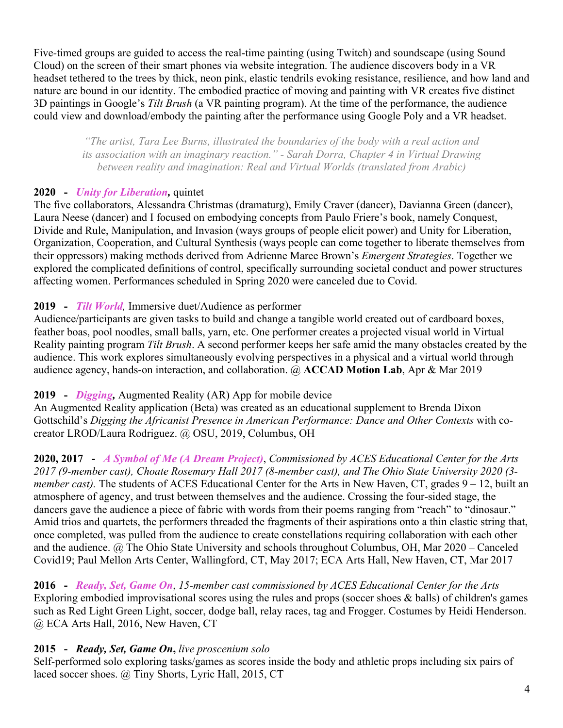Five*-*timed groups are guided to access the real-time painting (using Twitch) and soundscape (using Sound Cloud) on the screen of their smart phones via website integration. The audience discovers body in a VR headset tethered to the trees by thick, neon pink, elastic tendrils evoking resistance, resilience, and how land and nature are bound in our identity. The embodied practice of moving and painting with VR creates five distinct 3D paintings in Google's *Tilt Brush* (a VR painting program). At the time of the performance, the audience could view and download/embody the painting after the performance using Google Poly and a VR headset.

*"The artist, Tara Lee Burns, illustrated the boundaries of the body with a real action and its association with an imaginary reaction." - Sarah Dorra, Chapter 4 in Virtual Drawing between reality and imagination: Real and Virtual Worlds (translated from Arabic)*

## **2020 -** *Unity for Liberation,* quintet

The five collaborators, Alessandra Christmas (dramaturg), Emily Craver (dancer), Davianna Green (dancer), Laura Neese (dancer) and I focused on embodying concepts from Paulo Friere's book, namely Conquest, Divide and Rule, Manipulation, and Invasion (ways groups of people elicit power) and Unity for Liberation, Organization, Cooperation, and Cultural Synthesis (ways people can come together to liberate themselves from their oppressors) making methods derived from Adrienne Maree Brown's *Emergent Strategies*. Together we explored the complicated definitions of control, specifically surrounding societal conduct and power structures affecting women. Performances scheduled in Spring 2020 were canceled due to Covid.

#### **2019 -** *Tilt World,* Immersive duet/Audience as performer

Audience/participants are given tasks to build and change a tangible world created out of cardboard boxes, feather boas, pool noodles, small balls, yarn, etc. One performer creates a projected visual world in Virtual Reality painting program *Tilt Brush*. A second performer keeps her safe amid the many obstacles created by the audience. This work explores simultaneously evolving perspectives in a physical and a virtual world through audience agency, hands-on interaction, and collaboration. @ **ACCAD Motion Lab**, Apr & Mar 2019

## **2019 -** *Digging,* Augmented Reality (AR) App for mobile device

An Augmented Reality application (Beta) was created as an educational supplement to Brenda Dixon Gottschild's *Digging the Africanist Presence in American Performance: Dance and Other Contexts* with cocreator LROD/Laura Rodriguez. @ OSU, 2019, Columbus, OH

**2020, 2017 -** *A Symbol of Me (A Dream Project)*, *Commissioned by ACES Educational Center for the Arts 2017 (9-member cast), Choate Rosemary Hall 2017 (8-member cast), and The Ohio State University 2020 (3 member cast*). The students of ACES Educational Center for the Arts in New Haven, CT, grades 9 – 12, built an atmosphere of agency, and trust between themselves and the audience. Crossing the four-sided stage, the dancers gave the audience a piece of fabric with words from their poems ranging from "reach" to "dinosaur." Amid trios and quartets, the performers threaded the fragments of their aspirations onto a thin elastic string that, once completed, was pulled from the audience to create constellations requiring collaboration with each other and the audience. @ The Ohio State University and schools throughout Columbus, OH, Mar 2020 – Canceled Covid19; Paul Mellon Arts Center, Wallingford, CT, May 2017; ECA Arts Hall, New Haven, CT, Mar 2017

**2016 -** *Ready, Set, Game On*, *15-member cast commissioned by ACES Educational Center for the Arts* Exploring embodied improvisational scores using the rules and props (soccer shoes & balls) of children's games such as Red Light Green Light, soccer, dodge ball, relay races, tag and Frogger. Costumes by Heidi Henderson. @ ECA Arts Hall, 2016, New Haven, CT

## **2015 -** *Ready, Set, Game On***,** *live proscenium solo*

Self-performed solo exploring tasks/games as scores inside the body and athletic props including six pairs of laced soccer shoes. @ Tiny Shorts, Lyric Hall, 2015, CT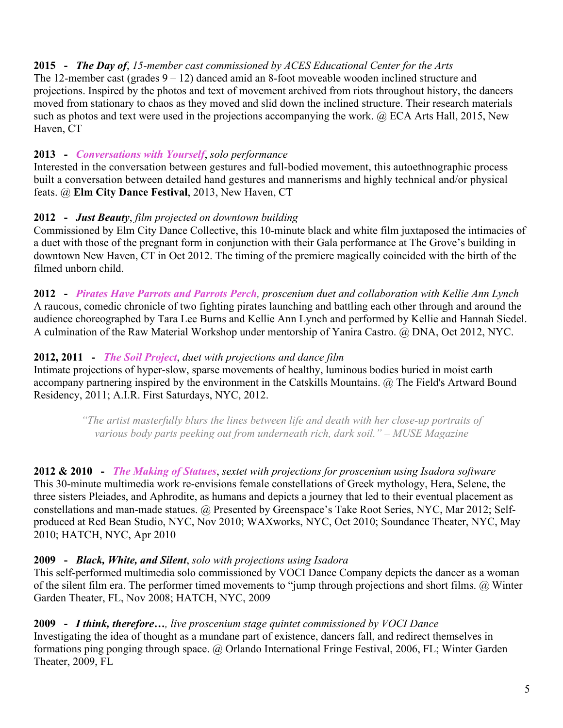## **2015 -** *The Day of*, *15-member cast commissioned by ACES Educational Center for the Arts*

The 12-member cast (grades  $9 - 12$ ) danced amid an 8-foot moveable wooden inclined structure and projections. Inspired by the photos and text of movement archived from riots throughout history, the dancers moved from stationary to chaos as they moved and slid down the inclined structure. Their research materials such as photos and text were used in the projections accompanying the work.  $\omega$  ECA Arts Hall, 2015, New Haven, CT

## **2013 -** *Conversations with Yourself*, *solo performance*

Interested in the conversation between gestures and full-bodied movement, this autoethnographic process built a conversation between detailed hand gestures and mannerisms and highly technical and/or physical feats. @ **Elm City Dance Festival**, 2013, New Haven, CT

## **2012 -** *Just Beauty*, *film projected on downtown building*

Commissioned by Elm City Dance Collective, this 10-minute black and white film juxtaposed the intimacies of a duet with those of the pregnant form in conjunction with their Gala performance at The Grove's building in downtown New Haven, CT in Oct 2012. The timing of the premiere magically coincided with the birth of the filmed unborn child.

**2012 -** *Pirates Have Parrots and Parrots Perch, proscenium duet and collaboration with Kellie Ann Lynch* A raucous, comedic chronicle of two fighting pirates launching and battling each other through and around the audience choreographed by Tara Lee Burns and Kellie Ann Lynch and performed by Kellie and Hannah Siedel. A culmination of the Raw Material Workshop under mentorship of Yanira Castro. @ DNA, Oct 2012, NYC.

## **2012, 2011 -** *The Soil Project*, *duet with projections and dance film*

Intimate projections of hyper-slow, sparse movements of healthy, luminous bodies buried in moist earth accompany partnering inspired by the environment in the Catskills Mountains. @ The Field's Artward Bound Residency, 2011; A.I.R. First Saturdays, NYC, 2012.

> *"The artist masterfully blurs the lines between life and death with her close-up portraits of various body parts peeking out from underneath rich, dark soil." – MUSE Magazine*

**2012 & 2010 -** *The Making of Statues*, *sextet with projections for proscenium using Isadora software* This 30-minute multimedia work re-envisions female constellations of Greek mythology, Hera, Selene, the three sisters Pleiades, and Aphrodite, as humans and depicts a journey that led to their eventual placement as constellations and man-made statues. @ Presented by Greenspace's Take Root Series, NYC, Mar 2012; Selfproduced at Red Bean Studio, NYC, Nov 2010; WAXworks, NYC, Oct 2010; Soundance Theater, NYC, May 2010; HATCH, NYC, Apr 2010

## **2009 -** *Black, White, and Silent*, *solo with projections using Isadora*

This self-performed multimedia solo commissioned by VOCI Dance Company depicts the dancer as a woman of the silent film era. The performer timed movements to "jump through projections and short films. @ Winter Garden Theater, FL, Nov 2008; HATCH, NYC, 2009

**2009 -** *I think, therefore…, live proscenium stage quintet commissioned by VOCI Dance* Investigating the idea of thought as a mundane part of existence, dancers fall, and redirect themselves in formations ping ponging through space. @ Orlando International Fringe Festival, 2006, FL; Winter Garden Theater, 2009, FL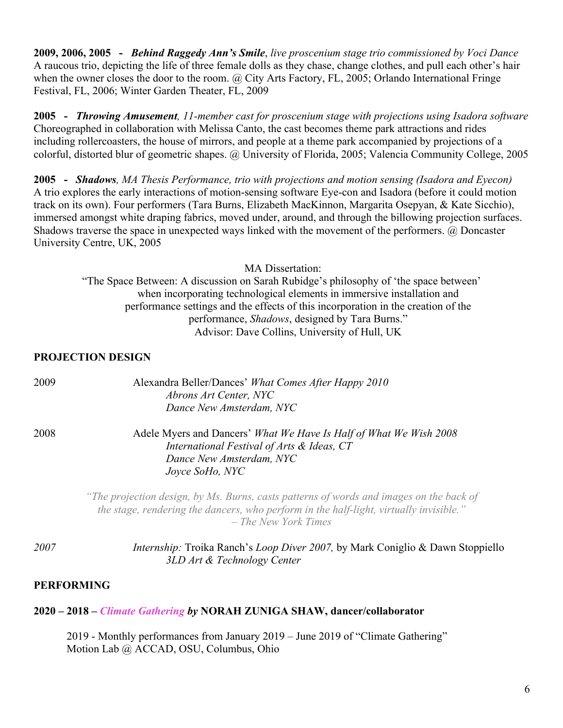**2009, 2006, 2005 -** *Behind Raggedy Ann's Smile*, *live proscenium stage trio commissioned by Voci Dance* A raucous trio, depicting the life of three female dolls as they chase, change clothes, and pull each other's hair when the owner closes the door to the room. @ City Arts Factory, FL, 2005; Orlando International Fringe Festival, FL, 2006; Winter Garden Theater, FL, 2009

**2005 -** *Throwing Amusement, 11-member cast for proscenium stage with projections using Isadora software*  Choreographed in collaboration with Melissa Canto, the cast becomes theme park attractions and rides including rollercoasters, the house of mirrors, and people at a theme park accompanied by projections of a colorful, distorted blur of geometric shapes. @ University of Florida, 2005; Valencia Community College, 2005

**2005 -** *Shadows, MA Thesis Performance, trio with projections and motion sensing (Isadora and Eyecon)* A trio explores the early interactions of motion-sensing software Eye-con and Isadora (before it could motion track on its own). Four performers (Tara Burns, Elizabeth MacKinnon, Margarita Osepyan, & Kate Sicchio), immersed amongst white draping fabrics, moved under, around, and through the billowing projection surfaces. Shadows traverse the space in unexpected ways linked with the movement of the performers. @ Doncaster University Centre, UK, 2005

MA Dissertation:

"The Space Between: A discussion on Sarah Rubidge's philosophy of 'the space between' when incorporating technological elements in immersive installation and performance settings and the effects of this incorporation in the creation of the performance, *Shadows*, designed by Tara Burns." Advisor: Dave Collins, University of Hull, UK

#### **PROJECTION DESIGN**

| 2009 | Alexandra Beller/Dances' What Comes After Happy 2010<br>Abrons Art Center, NYC<br>Dance New Amsterdam, NYC                                                                                                |
|------|-----------------------------------------------------------------------------------------------------------------------------------------------------------------------------------------------------------|
| 2008 | Adele Myers and Dancers' What We Have Is Half of What We Wish 2008<br>International Festival of Arts & Ideas, CT<br>Dance New Amsterdam, NYC<br>Joyce SoHo, NYC                                           |
|      | "The projection design, by Ms. Burns, casts patterns of words and images on the back of<br>the stage, rendering the dancers, who perform in the half-light, virtually invisible."<br>- The New York Times |
| 2007 | Internship: Troika Ranch's Loop Diver 2007, by Mark Coniglio & Dawn Stoppiello<br>3LD Art & Technology Center                                                                                             |

#### **PERFORMING**

#### **2020 – 2018 –** *Climate Gathering by* **NORAH ZUNIGA SHAW, dancer/collaborator**

2019 - Monthly performances from January 2019 – June 2019 of "Climate Gathering" Motion Lab @ ACCAD, OSU, Columbus, Ohio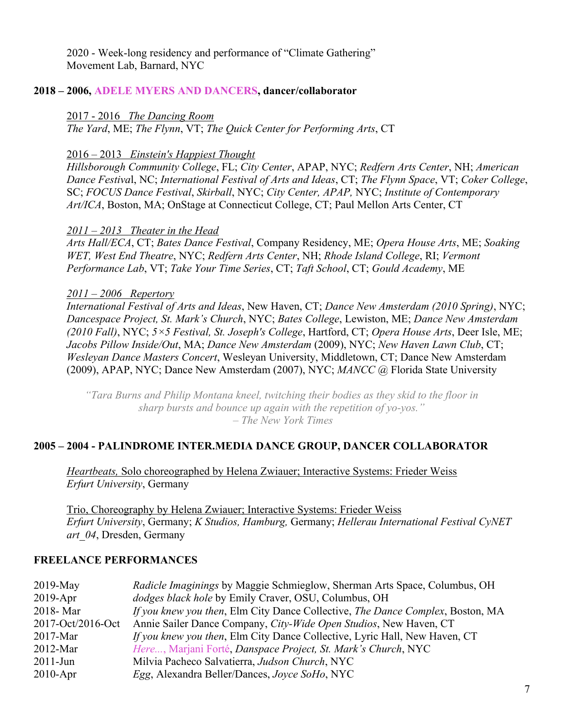2020 - Week-long residency and performance of "Climate Gathering" Movement Lab, Barnard, NYC

#### **2018 – 2006, ADELE MYERS AND DANCERS, dancer/collaborator**

2017 - 2016 *The Dancing Room*

*The Yard*, ME; *The Flynn*, VT; *The Quick Center for Performing Arts*, CT

#### 2016 – 2013 *Einstein's Happiest Thought*

*Hillsborough Community College*, FL; *City Center*, APAP, NYC; *Redfern Arts Center*, NH; *American Dance Festiva*l, NC; *International Festival of Arts and Ideas*, CT; *The Flynn Space*, VT; *Coker College*, SC; *FOCUS Dance Festival*, *Skirball*, NYC; *City Center, APAP,* NYC; *Institute of Contemporary Art/ICA*, Boston, MA; OnStage at Connecticut College, CT; Paul Mellon Arts Center, CT

#### *2011 – 2013 Theater in the Head*

*Arts Hall/ECA*, CT; *Bates Dance Festival*, Company Residency, ME; *Opera House Arts*, ME; *Soaking WET, West End Theatre*, NYC; *Redfern Arts Center*, NH; *Rhode Island College*, RI; *Vermont Performance Lab*, VT; *Take Your Time Series*, CT; *Taft School*, CT; *Gould Academy*, ME

#### *2011 – 2006 Repertory*

*International Festival of Arts and Ideas*, New Haven, CT; *Dance New Amsterdam (2010 Spring)*, NYC; *Dancespace Project, St. Mark's Church*, NYC; *Bates College*, Lewiston, ME; *Dance New Amsterdam (2010 Fall)*, NYC; *5×5 Festival, St. Joseph's College*, Hartford, CT; *Opera House Arts*, Deer Isle, ME; *Jacobs Pillow Inside/Out*, MA; *Dance New Amsterdam* (2009), NYC; *New Haven Lawn Club*, CT; *Wesleyan Dance Masters Concert*, Wesleyan University, Middletown, CT; Dance New Amsterdam (2009), APAP, NYC; Dance New Amsterdam (2007), NYC; *MANCC* @ Florida State University

*"Tara Burns and Philip Montana kneel, twitching their bodies as they skid to the floor in sharp bursts and bounce up again with the repetition of yo-yos." – The New York Times*

#### **2005 – 2004 - PALINDROME INTER.MEDIA DANCE GROUP, DANCER COLLABORATOR**

*Heartbeats,* Solo choreographed by Helena Zwiauer; Interactive Systems: Frieder Weiss *Erfurt University*, Germany

Trio, Choreography by Helena Zwiauer; Interactive Systems: Frieder Weiss *Erfurt University*, Germany; *K Studios, Hamburg,* Germany; *Hellerau International Festival CyNET art\_04*, Dresden, Germany

#### **FREELANCE PERFORMANCES**

| $2019$ -May       | Radicle Imaginings by Maggie Schmieglow, Sherman Arts Space, Columbus, OH          |
|-------------------|------------------------------------------------------------------------------------|
| $2019$ -Apr       | dodges black hole by Emily Craver, OSU, Columbus, OH                               |
| 2018-Mar          | If you knew you then, Elm City Dance Collective, The Dance Complex, Boston, MA     |
| 2017-Oct/2016-Oct | Annie Sailer Dance Company, City-Wide Open Studios, New Haven, CT                  |
| $2017$ -Mar       | <i>If you knew you then</i> , Elm City Dance Collective, Lyric Hall, New Haven, CT |
| $2012$ -Mar       | Here, Marjani Forté, Danspace Project, St. Mark's Church, NYC                      |
| $2011$ -Jun       | Milvia Pacheco Salvatierra, Judson Church, NYC                                     |
| $2010$ -Apr       | <i>Egg</i> , Alexandra Beller/Dances, <i>Joyce SoHo</i> , NYC                      |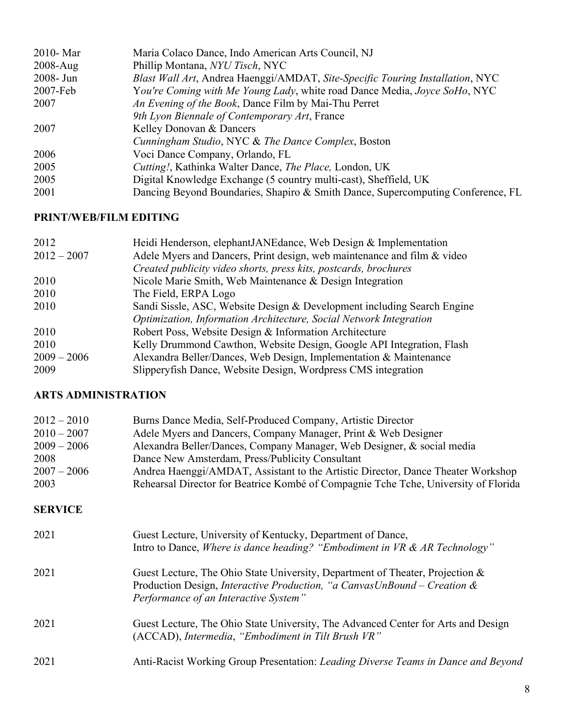| $2010 - \text{Mar}$ | Maria Colaco Dance, Indo American Arts Council, NJ                              |
|---------------------|---------------------------------------------------------------------------------|
| $2008 - Aug$        | Phillip Montana, NYU Tisch, NYC                                                 |
| $2008 - Jun$        | Blast Wall Art, Andrea Haenggi/AMDAT, Site-Specific Touring Installation, NYC   |
| $2007 - Feb$        | You're Coming with Me Young Lady, white road Dance Media, Joyce SoHo, NYC       |
| 2007                | An Evening of the Book, Dance Film by Mai-Thu Perret                            |
|                     | 9th Lyon Biennale of Contemporary Art, France                                   |
| 2007                | Kelley Donovan & Dancers                                                        |
|                     | Cunningham Studio, NYC & The Dance Complex, Boston                              |
| 2006                | Voci Dance Company, Orlando, FL                                                 |
| 2005                | <i>Cutting!</i> , Kathinka Walter Dance, <i>The Place</i> , London, UK          |
| 2005                | Digital Knowledge Exchange (5 country multi-cast), Sheffield, UK                |
| 2001                | Dancing Beyond Boundaries, Shapiro & Smith Dance, Supercomputing Conference, FL |
|                     |                                                                                 |

## **PRINT/WEB/FILM EDITING**

| 2012          | Heidi Henderson, elephantJANEdance, Web Design & Implementation         |
|---------------|-------------------------------------------------------------------------|
| $2012 - 2007$ | Adele Myers and Dancers, Print design, web maintenance and film & video |
|               | Created publicity video shorts, press kits, postcards, brochures        |
| 2010          | Nicole Marie Smith, Web Maintenance & Design Integration                |
| 2010          | The Field, ERPA Logo                                                    |
| 2010          | Sandi Sissle, ASC, Website Design & Development including Search Engine |
|               | Optimization, Information Architecture, Social Network Integration      |
| 2010          | Robert Poss, Website Design & Information Architecture                  |
| 2010          | Kelly Drummond Cawthon, Website Design, Google API Integration, Flash   |
| $2009 - 2006$ | Alexandra Beller/Dances, Web Design, Implementation & Maintenance       |
| 2009          | Slipperyfish Dance, Website Design, Wordpress CMS integration           |

## **ARTS ADMINISTRATION**

| $2012 - 2010$ | Burns Dance Media, Self-Produced Company, Artistic Director                         |
|---------------|-------------------------------------------------------------------------------------|
| $2010 - 2007$ | Adele Myers and Dancers, Company Manager, Print & Web Designer                      |
| $2009 - 2006$ | Alexandra Beller/Dances, Company Manager, Web Designer, & social media              |
| 2008          | Dance New Amsterdam, Press/Publicity Consultant                                     |
| $2007 - 2006$ | Andrea Haenggi/AMDAT, Assistant to the Artistic Director, Dance Theater Workshop    |
| 2003          | Rehearsal Director for Beatrice Kombé of Compagnie Tche Tche, University of Florida |

## **SERVICE**

| 2021 | Guest Lecture, University of Kentucky, Department of Dance,<br>Intro to Dance, Where is dance heading? "Embodiment in VR & AR Technology"                                                                  |
|------|------------------------------------------------------------------------------------------------------------------------------------------------------------------------------------------------------------|
| 2021 | Guest Lecture, The Ohio State University, Department of Theater, Projection &<br>Production Design, <i>Interactive Production</i> , "a CanvasUnBound – Creation &<br>Performance of an Interactive System" |
| 2021 | Guest Lecture, The Ohio State University, The Advanced Center for Arts and Design<br>(ACCAD), Intermedia, "Embodiment in Tilt Brush VR"                                                                    |
| 2021 | Anti-Racist Working Group Presentation: Leading Diverse Teams in Dance and Beyond                                                                                                                          |